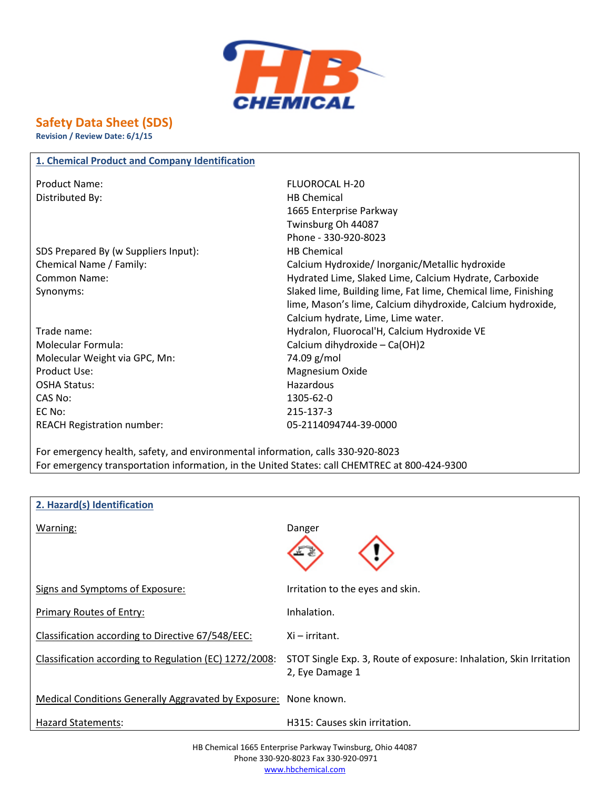

## **Safety Data Sheet (SDS)**

**Revision / Review Date: 6/1/15**

| 1. Chemical Product and Company Identification |                                                                |
|------------------------------------------------|----------------------------------------------------------------|
| <b>Product Name:</b>                           | <b>FLUOROCAL H-20</b>                                          |
| Distributed By:                                | <b>HB Chemical</b>                                             |
|                                                | 1665 Enterprise Parkway                                        |
|                                                | Twinsburg Oh 44087                                             |
|                                                | Phone - 330-920-8023                                           |
| SDS Prepared By (w Suppliers Input):           | <b>HB Chemical</b>                                             |
| Chemical Name / Family:                        | Calcium Hydroxide/Inorganic/Metallic hydroxide                 |
| <b>Common Name:</b>                            | Hydrated Lime, Slaked Lime, Calcium Hydrate, Carboxide         |
| Synonyms:                                      | Slaked lime, Building lime, Fat lime, Chemical lime, Finishing |
|                                                | lime, Mason's lime, Calcium dihydroxide, Calcium hydroxide,    |
|                                                | Calcium hydrate, Lime, Lime water.                             |
| Trade name:                                    | Hydralon, Fluorocal'H, Calcium Hydroxide VE                    |
| <b>Molecular Formula:</b>                      | Calcium dihydroxide - Ca(OH)2                                  |
| Molecular Weight via GPC, Mn:                  | 74.09 g/mol                                                    |
| Product Use:                                   | Magnesium Oxide                                                |
| <b>OSHA Status:</b>                            | Hazardous                                                      |
| CAS No:                                        | 1305-62-0                                                      |
| EC No:                                         | 215-137-3                                                      |
| <b>REACH Registration number:</b>              | 05-2114094744-39-0000                                          |

For emergency health, safety, and environmental information, calls 330-920-8023 For emergency transportation information, in the United States: call CHEMTREC at 800-424-9300

| 2. Hazard(s) Identification                                      |                                                                    |
|------------------------------------------------------------------|--------------------------------------------------------------------|
| Warning:                                                         | Danger                                                             |
|                                                                  |                                                                    |
|                                                                  |                                                                    |
|                                                                  |                                                                    |
| Signs and Symptoms of Exposure:                                  | Irritation to the eyes and skin.                                   |
|                                                                  |                                                                    |
| Primary Routes of Entry:                                         | Inhalation.                                                        |
|                                                                  |                                                                    |
| Classification according to Directive 67/548/EEC:                | Xi – irritant.                                                     |
| Classification according to Regulation (EC) 1272/2008:           | STOT Single Exp. 3, Route of exposure: Inhalation, Skin Irritation |
|                                                                  | 2, Eye Damage 1                                                    |
|                                                                  |                                                                    |
| Medical Conditions Generally Aggravated by Exposure: None known. |                                                                    |
| Hazard Statements:                                               | H315: Causes skin irritation.                                      |
|                                                                  |                                                                    |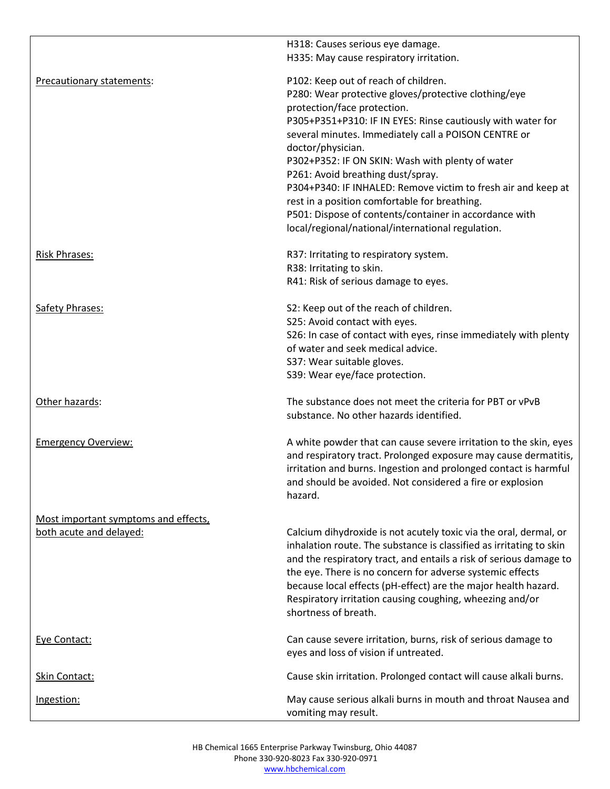|                                      | H318: Causes serious eye damage.                                                                                                                                                                                                                                                 |
|--------------------------------------|----------------------------------------------------------------------------------------------------------------------------------------------------------------------------------------------------------------------------------------------------------------------------------|
|                                      | H335: May cause respiratory irritation.                                                                                                                                                                                                                                          |
| Precautionary statements:            | P102: Keep out of reach of children.                                                                                                                                                                                                                                             |
|                                      | P280: Wear protective gloves/protective clothing/eye                                                                                                                                                                                                                             |
|                                      | protection/face protection.                                                                                                                                                                                                                                                      |
|                                      | P305+P351+P310: IF IN EYES: Rinse cautiously with water for                                                                                                                                                                                                                      |
|                                      | several minutes. Immediately call a POISON CENTRE or                                                                                                                                                                                                                             |
|                                      | doctor/physician.                                                                                                                                                                                                                                                                |
|                                      | P302+P352: IF ON SKIN: Wash with plenty of water                                                                                                                                                                                                                                 |
|                                      | P261: Avoid breathing dust/spray.                                                                                                                                                                                                                                                |
|                                      | P304+P340: IF INHALED: Remove victim to fresh air and keep at                                                                                                                                                                                                                    |
|                                      | rest in a position comfortable for breathing.                                                                                                                                                                                                                                    |
|                                      | P501: Dispose of contents/container in accordance with                                                                                                                                                                                                                           |
|                                      | local/regional/national/international regulation.                                                                                                                                                                                                                                |
| <b>Risk Phrases:</b>                 | R37: Irritating to respiratory system.                                                                                                                                                                                                                                           |
|                                      | R38: Irritating to skin.                                                                                                                                                                                                                                                         |
|                                      | R41: Risk of serious damage to eyes.                                                                                                                                                                                                                                             |
| <b>Safety Phrases:</b>               | S2: Keep out of the reach of children.                                                                                                                                                                                                                                           |
|                                      | S25: Avoid contact with eyes.                                                                                                                                                                                                                                                    |
|                                      | S26: In case of contact with eyes, rinse immediately with plenty                                                                                                                                                                                                                 |
|                                      | of water and seek medical advice.                                                                                                                                                                                                                                                |
|                                      | S37: Wear suitable gloves.                                                                                                                                                                                                                                                       |
|                                      | S39: Wear eye/face protection.                                                                                                                                                                                                                                                   |
| Other hazards:                       | The substance does not meet the criteria for PBT or vPvB                                                                                                                                                                                                                         |
|                                      | substance. No other hazards identified.                                                                                                                                                                                                                                          |
| <b>Emergency Overview:</b>           | A white powder that can cause severe irritation to the skin, eyes<br>and respiratory tract. Prolonged exposure may cause dermatitis,<br>irritation and burns. Ingestion and prolonged contact is harmful<br>and should be avoided. Not considered a fire or explosion<br>hazard. |
| Most important symptoms and effects, |                                                                                                                                                                                                                                                                                  |
| both acute and delayed:              | Calcium dihydroxide is not acutely toxic via the oral, dermal, or<br>inhalation route. The substance is classified as irritating to skin                                                                                                                                         |
|                                      | and the respiratory tract, and entails a risk of serious damage to                                                                                                                                                                                                               |
|                                      | the eye. There is no concern for adverse systemic effects                                                                                                                                                                                                                        |
|                                      | because local effects (pH-effect) are the major health hazard.                                                                                                                                                                                                                   |
|                                      | Respiratory irritation causing coughing, wheezing and/or<br>shortness of breath.                                                                                                                                                                                                 |
| Eye Contact:                         | Can cause severe irritation, burns, risk of serious damage to<br>eyes and loss of vision if untreated.                                                                                                                                                                           |
| Skin Contact:                        | Cause skin irritation. Prolonged contact will cause alkali burns.                                                                                                                                                                                                                |
|                                      |                                                                                                                                                                                                                                                                                  |
| Ingestion:                           | May cause serious alkali burns in mouth and throat Nausea and<br>vomiting may result.                                                                                                                                                                                            |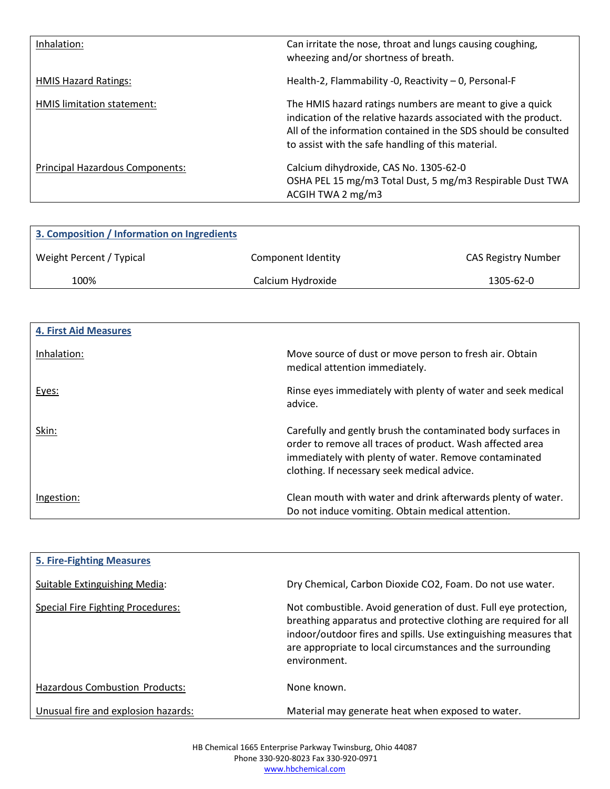| Inhalation:                     | Can irritate the nose, throat and lungs causing coughing,<br>wheezing and/or shortness of breath.                                                                                                                                                     |
|---------------------------------|-------------------------------------------------------------------------------------------------------------------------------------------------------------------------------------------------------------------------------------------------------|
| <b>HMIS Hazard Ratings:</b>     | Health-2, Flammability -0, Reactivity $-$ 0, Personal-F                                                                                                                                                                                               |
| HMIS limitation statement:      | The HMIS hazard ratings numbers are meant to give a quick<br>indication of the relative hazards associated with the product.<br>All of the information contained in the SDS should be consulted<br>to assist with the safe handling of this material. |
| Principal Hazardous Components: | Calcium dihydroxide, CAS No. 1305-62-0<br>OSHA PEL 15 mg/m3 Total Dust, 5 mg/m3 Respirable Dust TWA<br>ACGIH TWA 2 mg/m3                                                                                                                              |

| 3. Composition / Information on Ingredients |                    |                            |
|---------------------------------------------|--------------------|----------------------------|
| Weight Percent / Typical                    | Component Identity | <b>CAS Registry Number</b> |
| 100%                                        | Calcium Hydroxide  | 1305-62-0                  |

| <b>4. First Aid Measures</b> |                                                                                                                                                                                                                                   |
|------------------------------|-----------------------------------------------------------------------------------------------------------------------------------------------------------------------------------------------------------------------------------|
| Inhalation:                  | Move source of dust or move person to fresh air. Obtain<br>medical attention immediately.                                                                                                                                         |
| Eyes:                        | Rinse eyes immediately with plenty of water and seek medical<br>advice.                                                                                                                                                           |
| Skin:                        | Carefully and gently brush the contaminated body surfaces in<br>order to remove all traces of product. Wash affected area<br>immediately with plenty of water. Remove contaminated<br>clothing. If necessary seek medical advice. |
| Ingestion:                   | Clean mouth with water and drink afterwards plenty of water.<br>Do not induce vomiting. Obtain medical attention.                                                                                                                 |

| <b>5. Fire-Fighting Measures</b>    |                                                                                                                                                                                                                                                                                       |
|-------------------------------------|---------------------------------------------------------------------------------------------------------------------------------------------------------------------------------------------------------------------------------------------------------------------------------------|
| Suitable Extinguishing Media:       | Dry Chemical, Carbon Dioxide CO2, Foam. Do not use water.                                                                                                                                                                                                                             |
| Special Fire Fighting Procedures:   | Not combustible. Avoid generation of dust. Full eye protection,<br>breathing apparatus and protective clothing are required for all<br>indoor/outdoor fires and spills. Use extinguishing measures that<br>are appropriate to local circumstances and the surrounding<br>environment. |
| Hazardous Combustion Products:      | None known.                                                                                                                                                                                                                                                                           |
| Unusual fire and explosion hazards: | Material may generate heat when exposed to water.                                                                                                                                                                                                                                     |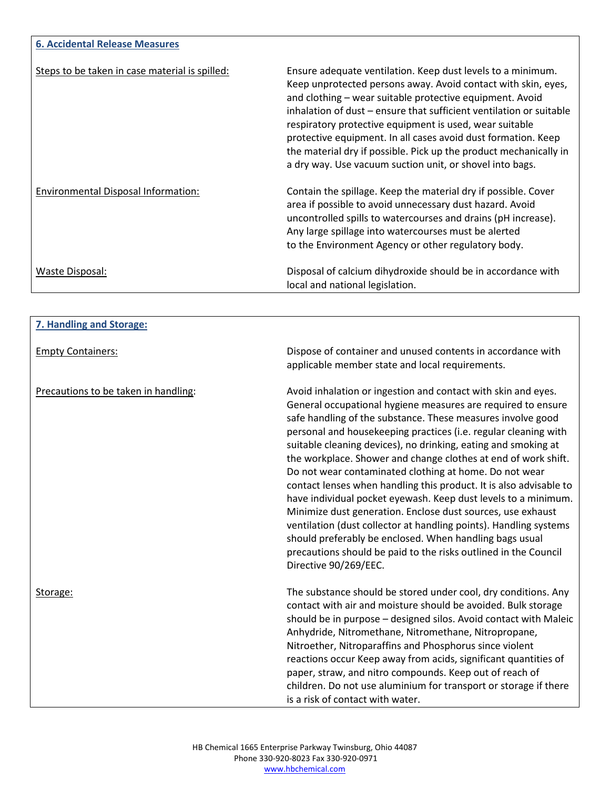| <b>6. Accidental Release Measures</b>          |                                                                                                                                                                                                                                                                                                                                                                                                                                                                                                                              |
|------------------------------------------------|------------------------------------------------------------------------------------------------------------------------------------------------------------------------------------------------------------------------------------------------------------------------------------------------------------------------------------------------------------------------------------------------------------------------------------------------------------------------------------------------------------------------------|
| Steps to be taken in case material is spilled: | Ensure adequate ventilation. Keep dust levels to a minimum.<br>Keep unprotected persons away. Avoid contact with skin, eyes,<br>and clothing – wear suitable protective equipment. Avoid<br>inhalation of dust – ensure that sufficient ventilation or suitable<br>respiratory protective equipment is used, wear suitable<br>protective equipment. In all cases avoid dust formation. Keep<br>the material dry if possible. Pick up the product mechanically in<br>a dry way. Use vacuum suction unit, or shovel into bags. |
| Environmental Disposal Information:            | Contain the spillage. Keep the material dry if possible. Cover<br>area if possible to avoid unnecessary dust hazard. Avoid<br>uncontrolled spills to watercourses and drains (pH increase).<br>Any large spillage into watercourses must be alerted<br>to the Environment Agency or other regulatory body.                                                                                                                                                                                                                   |
| Waste Disposal:                                | Disposal of calcium dihydroxide should be in accordance with<br>local and national legislation.                                                                                                                                                                                                                                                                                                                                                                                                                              |

| 7. Handling and Storage:             |                                                                                                                                                                                                                                                                                                                                                                                                                                                                                                                                                                                                                                                                                                                                                                                                                                                                                                  |
|--------------------------------------|--------------------------------------------------------------------------------------------------------------------------------------------------------------------------------------------------------------------------------------------------------------------------------------------------------------------------------------------------------------------------------------------------------------------------------------------------------------------------------------------------------------------------------------------------------------------------------------------------------------------------------------------------------------------------------------------------------------------------------------------------------------------------------------------------------------------------------------------------------------------------------------------------|
| <b>Empty Containers:</b>             | Dispose of container and unused contents in accordance with<br>applicable member state and local requirements.                                                                                                                                                                                                                                                                                                                                                                                                                                                                                                                                                                                                                                                                                                                                                                                   |
| Precautions to be taken in handling: | Avoid inhalation or ingestion and contact with skin and eyes.<br>General occupational hygiene measures are required to ensure<br>safe handling of the substance. These measures involve good<br>personal and housekeeping practices (i.e. regular cleaning with<br>suitable cleaning devices), no drinking, eating and smoking at<br>the workplace. Shower and change clothes at end of work shift.<br>Do not wear contaminated clothing at home. Do not wear<br>contact lenses when handling this product. It is also advisable to<br>have individual pocket eyewash. Keep dust levels to a minimum.<br>Minimize dust generation. Enclose dust sources, use exhaust<br>ventilation (dust collector at handling points). Handling systems<br>should preferably be enclosed. When handling bags usual<br>precautions should be paid to the risks outlined in the Council<br>Directive 90/269/EEC. |
| Storage:                             | The substance should be stored under cool, dry conditions. Any<br>contact with air and moisture should be avoided. Bulk storage<br>should be in purpose - designed silos. Avoid contact with Maleic<br>Anhydride, Nitromethane, Nitromethane, Nitropropane,<br>Nitroether, Nitroparaffins and Phosphorus since violent<br>reactions occur Keep away from acids, significant quantities of<br>paper, straw, and nitro compounds. Keep out of reach of<br>children. Do not use aluminium for transport or storage if there<br>is a risk of contact with water.                                                                                                                                                                                                                                                                                                                                     |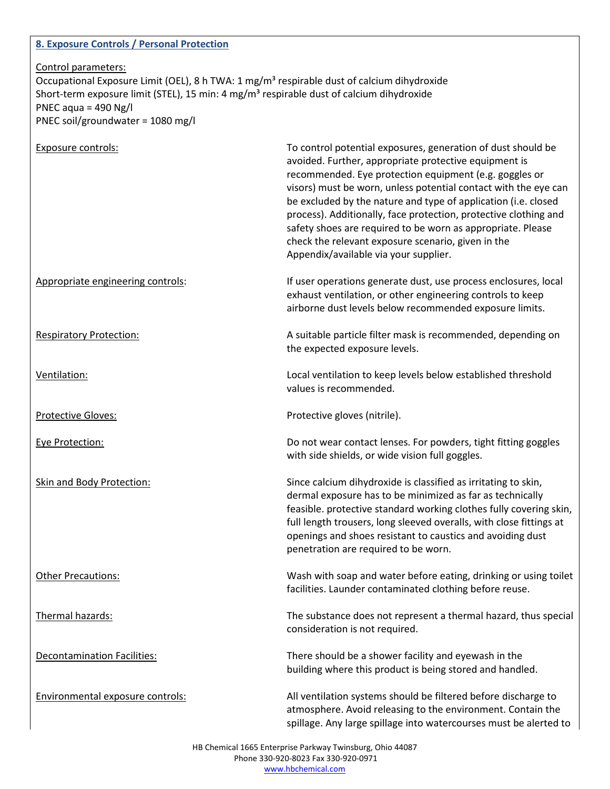# **8. Exposure Controls / Personal Protection** Control parameters: Occupational Exposure Limit (OEL), 8 h TWA: 1 mg/m<sup>3</sup> respirable dust of calcium dihydroxide Short-term exposure limit (STEL), 15 min: 4 mg/m<sup>3</sup> respirable dust of calcium dihydroxide PNEC aqua =  $490$  Ng/l PNEC soil/groundwater = 1080 mg/l Exposure controls: To control potential exposures, generation of dust should be avoided. Further, appropriate protective equipment is recommended. Eye protection equipment (e.g. goggles or visors) must be worn, unless potential contact with the eye can be excluded by the nature and type of application (i.e. closed process). Additionally, face protection, protective clothing and safety shoes are required to be worn as appropriate. Please check the relevant exposure scenario, given in the Appendix/available via your supplier. Appropriate engineering controls: If user operations generate dust, use process enclosures, local exhaust ventilation, or other engineering controls to keep airborne dust levels below recommended exposure limits. Respiratory Protection: A suitable particle filter mask is recommended, depending on the expected exposure levels. Ventilation: Local ventilation to keep levels below established threshold values is recommended. Protective Gloves: Protective gloves (nitrile). Eye Protection: Do not wear contact lenses. For powders, tight fitting goggles with side shields, or wide vision full goggles. Skin and Body Protection: Since calcium dihydroxide is classified as irritating to skin, dermal exposure has to be minimized as far as technically feasible. protective standard working clothes fully covering skin, full length trousers, long sleeved overalls, with close fittings at openings and shoes resistant to caustics and avoiding dust penetration are required to be worn. Other Precautions: Wash with soap and water before eating, drinking or using toilet facilities. Launder contaminated clothing before reuse. Thermal hazards: The substance does not represent a thermal hazard, thus special consideration is not required. Decontamination Facilities: There should be a shower facility and eyewash in the building where this product is being stored and handled. Environmental exposure controls: All ventilation systems should be filtered before discharge to atmosphere. Avoid releasing to the environment. Contain the spillage. Any large spillage into watercourses must be alerted to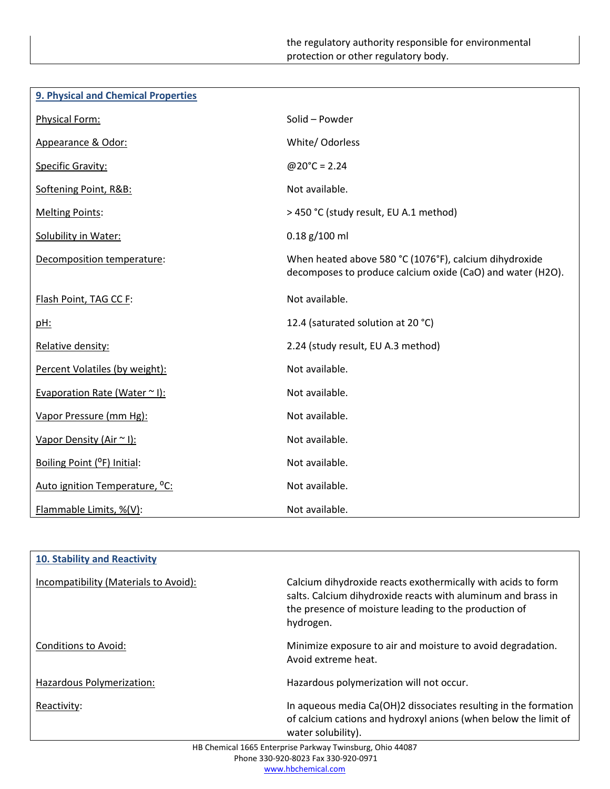| 9. Physical and Chemical Properties |                                                                                                                      |
|-------------------------------------|----------------------------------------------------------------------------------------------------------------------|
| Physical Form:                      | Solid - Powder                                                                                                       |
| Appearance & Odor:                  | White/ Odorless                                                                                                      |
| <b>Specific Gravity:</b>            | $@20^{\circ}C = 2.24$                                                                                                |
| Softening Point, R&B:               | Not available.                                                                                                       |
| <b>Melting Points:</b>              | > 450 °C (study result, EU A.1 method)                                                                               |
| <b>Solubility in Water:</b>         | $0.18$ g/100 ml                                                                                                      |
| Decomposition temperature:          | When heated above 580 °C (1076°F), calcium dihydroxide<br>decomposes to produce calcium oxide (CaO) and water (H2O). |
| Flash Point, TAG CC F:              | Not available.                                                                                                       |
| <u>pH:</u>                          | 12.4 (saturated solution at 20 °C)                                                                                   |
| Relative density:                   | 2.24 (study result, EU A.3 method)                                                                                   |
| Percent Volatiles (by weight):      | Not available.                                                                                                       |
| Evaporation Rate (Water $\sim$ I):  | Not available.                                                                                                       |
| Vapor Pressure (mm Hg):             | Not available.                                                                                                       |
| Vapor Density (Air ~ I):            | Not available.                                                                                                       |
| Boiling Point (°F) Initial:         | Not available.                                                                                                       |
| Auto ignition Temperature, °C:      | Not available.                                                                                                       |
| Flammable Limits, %(V):             | Not available.                                                                                                       |

| 10. Stability and Reactivity                              |                                                                                                                                                                                                    |
|-----------------------------------------------------------|----------------------------------------------------------------------------------------------------------------------------------------------------------------------------------------------------|
| Incompatibility (Materials to Avoid):                     | Calcium dihydroxide reacts exothermically with acids to form<br>salts. Calcium dihydroxide reacts with aluminum and brass in<br>the presence of moisture leading to the production of<br>hydrogen. |
| <b>Conditions to Avoid:</b>                               | Minimize exposure to air and moisture to avoid degradation.<br>Avoid extreme heat.                                                                                                                 |
| Hazardous Polymerization:                                 | Hazardous polymerization will not occur.                                                                                                                                                           |
| Reactivity:                                               | In aqueous media Ca(OH)2 dissociates resulting in the formation<br>of calcium cations and hydroxyl anions (when below the limit of<br>water solubility).                                           |
| HB Chemical 1665 Enterprise Parkway Twinsburg, Ohio 44087 |                                                                                                                                                                                                    |

Phone 330-920-8023 Fax 330-920-0971 www.hbchemical.com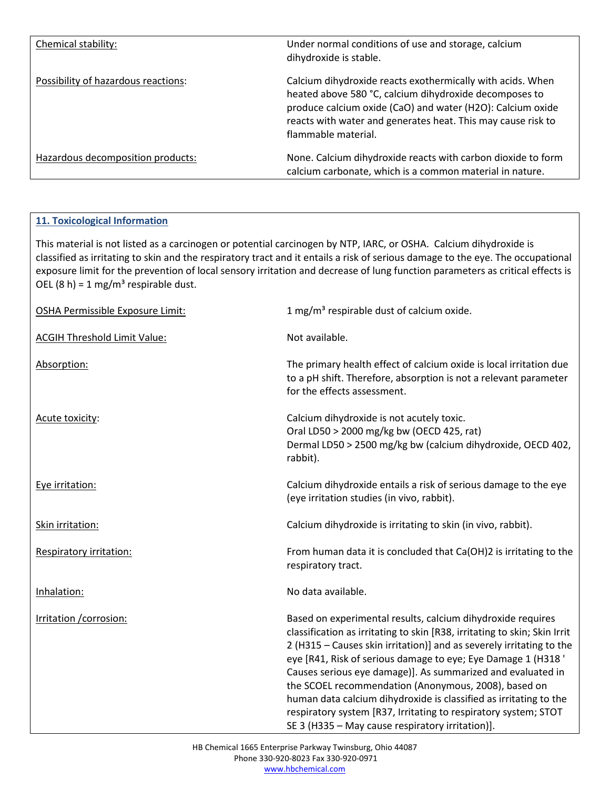| Chemical stability:                 | Under normal conditions of use and storage, calcium<br>dihydroxide is stable.                                                                                                                                                                                             |
|-------------------------------------|---------------------------------------------------------------------------------------------------------------------------------------------------------------------------------------------------------------------------------------------------------------------------|
| Possibility of hazardous reactions: | Calcium dihydroxide reacts exothermically with acids. When<br>heated above 580 °C, calcium dihydroxide decomposes to<br>produce calcium oxide (CaO) and water (H2O): Calcium oxide<br>reacts with water and generates heat. This may cause risk to<br>flammable material. |
| Hazardous decomposition products:   | None. Calcium dihydroxide reacts with carbon dioxide to form<br>calcium carbonate, which is a common material in nature.                                                                                                                                                  |

### **11. Toxicological Information**

This material is not listed as a carcinogen or potential carcinogen by NTP, IARC, or OSHA. Calcium dihydroxide is classified as irritating to skin and the respiratory tract and it entails a risk of serious damage to the eye. The occupational exposure limit for the prevention of local sensory irritation and decrease of lung function parameters as critical effects is OEL (8 h) = 1 mg/m<sup>3</sup> respirable dust.

| OSHA Permissible Exposure Limit:    | 1 mg/m <sup>3</sup> respirable dust of calcium oxide.                                                                                                                                                                                                                                                                                                                                                                                                                                                                                                                                                |
|-------------------------------------|------------------------------------------------------------------------------------------------------------------------------------------------------------------------------------------------------------------------------------------------------------------------------------------------------------------------------------------------------------------------------------------------------------------------------------------------------------------------------------------------------------------------------------------------------------------------------------------------------|
| <b>ACGIH Threshold Limit Value:</b> | Not available.                                                                                                                                                                                                                                                                                                                                                                                                                                                                                                                                                                                       |
| Absorption:                         | The primary health effect of calcium oxide is local irritation due<br>to a pH shift. Therefore, absorption is not a relevant parameter<br>for the effects assessment.                                                                                                                                                                                                                                                                                                                                                                                                                                |
| Acute toxicity:                     | Calcium dihydroxide is not acutely toxic.<br>Oral LD50 > 2000 mg/kg bw (OECD 425, rat)<br>Dermal LD50 > 2500 mg/kg bw (calcium dihydroxide, OECD 402,<br>rabbit).                                                                                                                                                                                                                                                                                                                                                                                                                                    |
| Eye irritation:                     | Calcium dihydroxide entails a risk of serious damage to the eye<br>(eye irritation studies (in vivo, rabbit).                                                                                                                                                                                                                                                                                                                                                                                                                                                                                        |
| Skin irritation:                    | Calcium dihydroxide is irritating to skin (in vivo, rabbit).                                                                                                                                                                                                                                                                                                                                                                                                                                                                                                                                         |
| Respiratory irritation:             | From human data it is concluded that Ca(OH)2 is irritating to the<br>respiratory tract.                                                                                                                                                                                                                                                                                                                                                                                                                                                                                                              |
| Inhalation:                         | No data available.                                                                                                                                                                                                                                                                                                                                                                                                                                                                                                                                                                                   |
| Irritation / corrosion:             | Based on experimental results, calcium dihydroxide requires<br>classification as irritating to skin [R38, irritating to skin; Skin Irrit<br>2 (H315 - Causes skin irritation)] and as severely irritating to the<br>eye [R41, Risk of serious damage to eye; Eye Damage 1 (H318 '<br>Causes serious eye damage)]. As summarized and evaluated in<br>the SCOEL recommendation (Anonymous, 2008), based on<br>human data calcium dihydroxide is classified as irritating to the<br>respiratory system [R37, Irritating to respiratory system; STOT<br>SE 3 (H335 - May cause respiratory irritation)]. |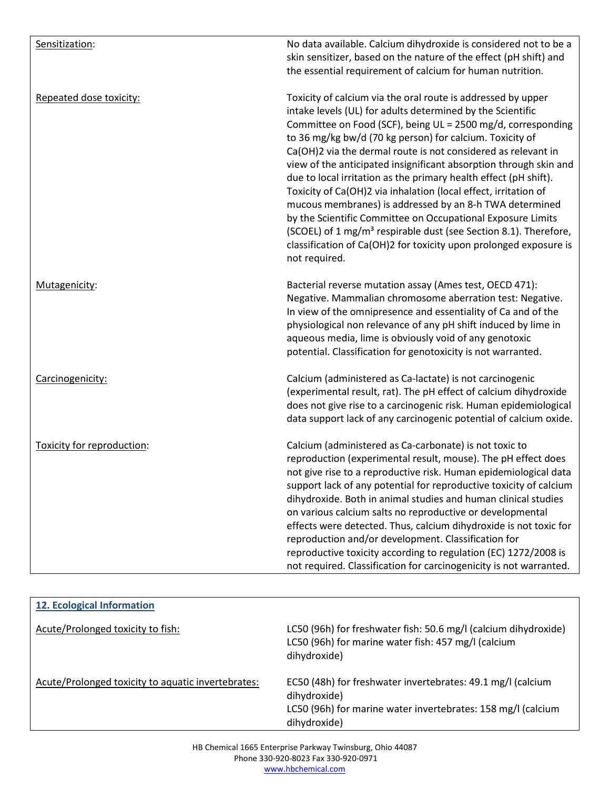| Sensitization:             | No data available. Calcium dihydroxide is considered not to be a<br>skin sensitizer, based on the nature of the effect (pH shift) and<br>the essential requirement of calcium for human nutrition.                                                                                                                                                                                                                                                                                                                                                                                                                                                                                                                                                                                                                                  |
|----------------------------|-------------------------------------------------------------------------------------------------------------------------------------------------------------------------------------------------------------------------------------------------------------------------------------------------------------------------------------------------------------------------------------------------------------------------------------------------------------------------------------------------------------------------------------------------------------------------------------------------------------------------------------------------------------------------------------------------------------------------------------------------------------------------------------------------------------------------------------|
| Repeated dose toxicity:    | Toxicity of calcium via the oral route is addressed by upper<br>intake levels (UL) for adults determined by the Scientific<br>Committee on Food (SCF), being UL = 2500 mg/d, corresponding<br>to 36 mg/kg bw/d (70 kg person) for calcium. Toxicity of<br>Ca(OH)2 via the dermal route is not considered as relevant in<br>view of the anticipated insignificant absorption through skin and<br>due to local irritation as the primary health effect (pH shift).<br>Toxicity of Ca(OH)2 via inhalation (local effect, irritation of<br>mucous membranes) is addressed by an 8-h TWA determined<br>by the Scientific Committee on Occupational Exposure Limits<br>(SCOEL) of 1 mg/m <sup>3</sup> respirable dust (see Section 8.1). Therefore,<br>classification of Ca(OH)2 for toxicity upon prolonged exposure is<br>not required. |
| Mutagenicity:              | Bacterial reverse mutation assay (Ames test, OECD 471):<br>Negative. Mammalian chromosome aberration test: Negative.<br>In view of the omnipresence and essentiality of Ca and of the<br>physiological non relevance of any pH shift induced by lime in<br>aqueous media, lime is obviously void of any genotoxic<br>potential. Classification for genotoxicity is not warranted.                                                                                                                                                                                                                                                                                                                                                                                                                                                   |
| Carcinogenicity:           | Calcium (administered as Ca-lactate) is not carcinogenic<br>(experimental result, rat). The pH effect of calcium dihydroxide<br>does not give rise to a carcinogenic risk. Human epidemiological<br>data support lack of any carcinogenic potential of calcium oxide.                                                                                                                                                                                                                                                                                                                                                                                                                                                                                                                                                               |
| Toxicity for reproduction: | Calcium (administered as Ca-carbonate) is not toxic to<br>reproduction (experimental result, mouse). The pH effect does<br>not give rise to a reproductive risk. Human epidemiological data<br>support lack of any potential for reproductive toxicity of calcium<br>dihydroxide. Both in animal studies and human clinical studies<br>on various calcium salts no reproductive or developmental<br>effects were detected. Thus, calcium dihydroxide is not toxic for<br>reproduction and/or development. Classification for<br>reproductive toxicity according to regulation (EC) 1272/2008 is<br>not required. Classification for carcinogenicity is not warranted.                                                                                                                                                               |

| 12. Ecological Information                         |                                                                                                                                                             |
|----------------------------------------------------|-------------------------------------------------------------------------------------------------------------------------------------------------------------|
| Acute/Prolonged toxicity to fish:                  | LC50 (96h) for freshwater fish: 50.6 mg/l (calcium dihydroxide)<br>LC50 (96h) for marine water fish: 457 mg/l (calcium<br>dihydroxide)                      |
| Acute/Prolonged toxicity to aquatic invertebrates: | EC50 (48h) for freshwater invertebrates: 49.1 mg/l (calcium<br>dihydroxide)<br>LC50 (96h) for marine water invertebrates: 158 mg/l (calcium<br>dihydroxide) |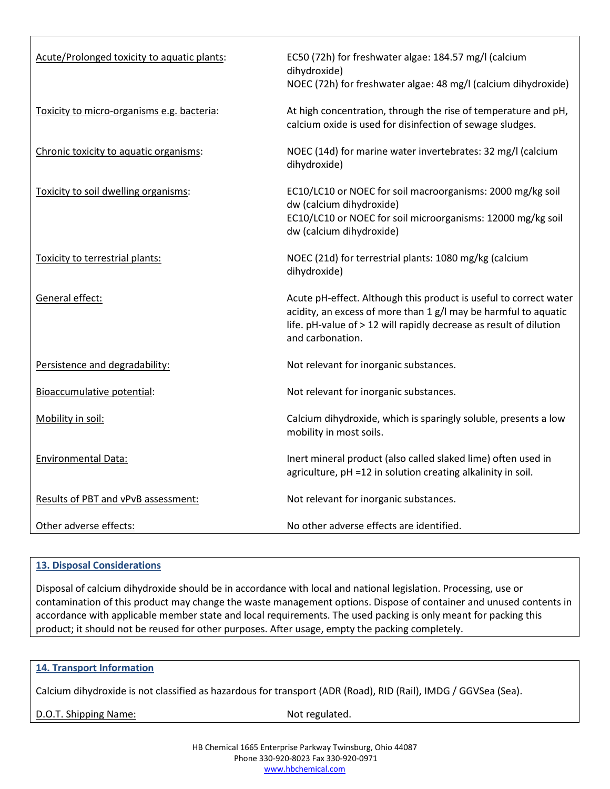| Acute/Prolonged toxicity to aquatic plants: | EC50 (72h) for freshwater algae: 184.57 mg/l (calcium<br>dihydroxide)<br>NOEC (72h) for freshwater algae: 48 mg/l (calcium dihydroxide)                                                                                        |
|---------------------------------------------|--------------------------------------------------------------------------------------------------------------------------------------------------------------------------------------------------------------------------------|
| Toxicity to micro-organisms e.g. bacteria:  | At high concentration, through the rise of temperature and pH,<br>calcium oxide is used for disinfection of sewage sludges.                                                                                                    |
| Chronic toxicity to aquatic organisms:      | NOEC (14d) for marine water invertebrates: 32 mg/l (calcium<br>dihydroxide)                                                                                                                                                    |
| Toxicity to soil dwelling organisms:        | EC10/LC10 or NOEC for soil macroorganisms: 2000 mg/kg soil<br>dw (calcium dihydroxide)<br>EC10/LC10 or NOEC for soil microorganisms: 12000 mg/kg soil<br>dw (calcium dihydroxide)                                              |
| Toxicity to terrestrial plants:             | NOEC (21d) for terrestrial plants: 1080 mg/kg (calcium<br>dihydroxide)                                                                                                                                                         |
| General effect:                             | Acute pH-effect. Although this product is useful to correct water<br>acidity, an excess of more than 1 g/l may be harmful to aquatic<br>life. pH-value of > 12 will rapidly decrease as result of dilution<br>and carbonation. |
| Persistence and degradability:              | Not relevant for inorganic substances.                                                                                                                                                                                         |
| Bioaccumulative potential:                  | Not relevant for inorganic substances.                                                                                                                                                                                         |
| Mobility in soil:                           | Calcium dihydroxide, which is sparingly soluble, presents a low<br>mobility in most soils.                                                                                                                                     |
| <b>Environmental Data:</b>                  | Inert mineral product (also called slaked lime) often used in<br>agriculture, pH =12 in solution creating alkalinity in soil.                                                                                                  |
| Results of PBT and vPvB assessment:         | Not relevant for inorganic substances.                                                                                                                                                                                         |
| Other adverse effects:                      | No other adverse effects are identified.                                                                                                                                                                                       |

#### **13. Disposal Considerations**

Disposal of calcium dihydroxide should be in accordance with local and national legislation. Processing, use or contamination of this product may change the waste management options. Dispose of container and unused contents in accordance with applicable member state and local requirements. The used packing is only meant for packing this product; it should not be reused for other purposes. After usage, empty the packing completely.

#### **14. Transport Information**

Calcium dihydroxide is not classified as hazardous for transport (ADR (Road), RID (Rail), IMDG / GGVSea (Sea).

D.O.T. Shipping Name: Not regulated.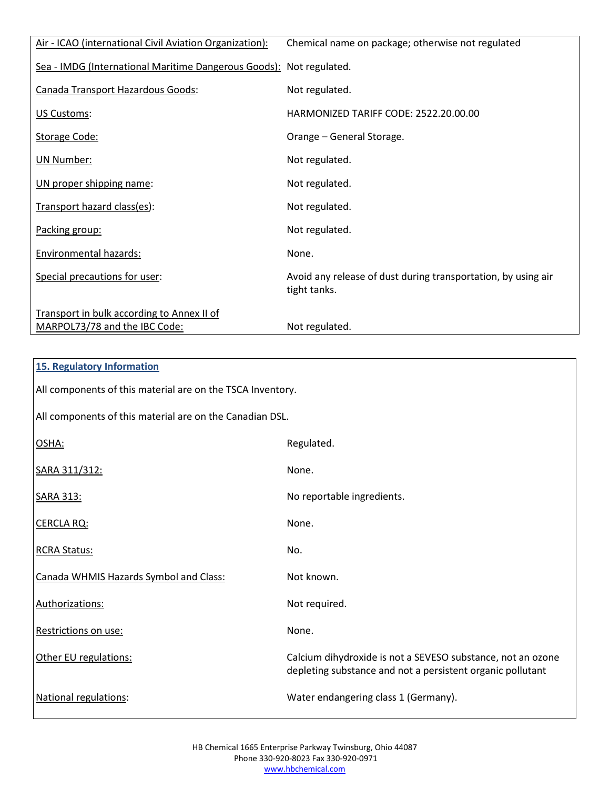| Air - ICAO (international Civil Aviation Organization):             | Chemical name on package; otherwise not regulated                             |
|---------------------------------------------------------------------|-------------------------------------------------------------------------------|
| Sea - IMDG (International Maritime Dangerous Goods): Not regulated. |                                                                               |
| Canada Transport Hazardous Goods:                                   | Not regulated.                                                                |
| US Customs:                                                         | HARMONIZED TARIFF CODE: 2522.20.00.00                                         |
| Storage Code:                                                       | Orange - General Storage.                                                     |
| UN Number:                                                          | Not regulated.                                                                |
| UN proper shipping name:                                            | Not regulated.                                                                |
| Transport hazard class(es):                                         | Not regulated.                                                                |
| Packing group:                                                      | Not regulated.                                                                |
| Environmental hazards:                                              | None.                                                                         |
| Special precautions for user:                                       | Avoid any release of dust during transportation, by using air<br>tight tanks. |
| Transport in bulk according to Annex II of                          |                                                                               |
| MARPOL73/78 and the IBC Code:                                       | Not regulated.                                                                |

| <b>15. Regulatory Information</b>                          |                                                                                                                           |
|------------------------------------------------------------|---------------------------------------------------------------------------------------------------------------------------|
| All components of this material are on the TSCA Inventory. |                                                                                                                           |
| All components of this material are on the Canadian DSL.   |                                                                                                                           |
| OSHA:                                                      | Regulated.                                                                                                                |
| SARA 311/312:                                              | None.                                                                                                                     |
| <b>SARA 313:</b>                                           | No reportable ingredients.                                                                                                |
| <b>CERCLA RQ:</b>                                          | None.                                                                                                                     |
| <b>RCRA Status:</b>                                        | No.                                                                                                                       |
| Canada WHMIS Hazards Symbol and Class:                     | Not known.                                                                                                                |
| Authorizations:                                            | Not required.                                                                                                             |
| Restrictions on use:                                       | None.                                                                                                                     |
| Other EU regulations:                                      | Calcium dihydroxide is not a SEVESO substance, not an ozone<br>depleting substance and not a persistent organic pollutant |
| <b>National regulations:</b>                               | Water endangering class 1 (Germany).                                                                                      |